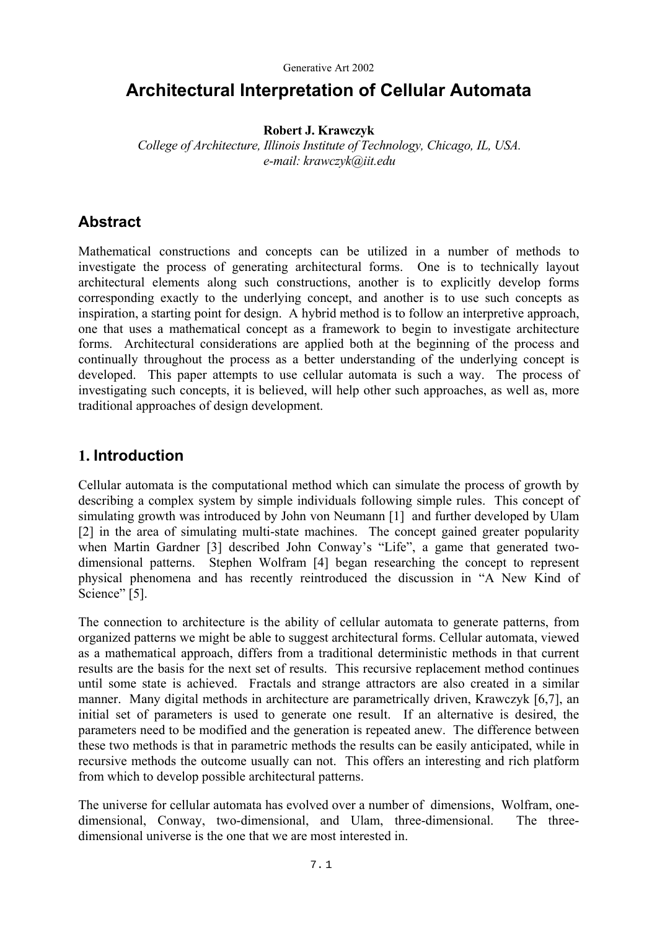# **Architectural Interpretation of Cellular Automata**

### **Robert J. Krawczyk**

*College of Architecture, Illinois Institute of Technology, Chicago, IL, USA. e-mail: krawczyk@iit.edu* 

## **Abstract**

Mathematical constructions and concepts can be utilized in a number of methods to investigate the process of generating architectural forms. One is to technically layout architectural elements along such constructions, another is to explicitly develop forms corresponding exactly to the underlying concept, and another is to use such concepts as inspiration, a starting point for design. A hybrid method is to follow an interpretive approach, one that uses a mathematical concept as a framework to begin to investigate architecture forms. Architectural considerations are applied both at the beginning of the process and continually throughout the process as a better understanding of the underlying concept is developed. This paper attempts to use cellular automata is such a way. The process of investigating such concepts, it is believed, will help other such approaches, as well as, more traditional approaches of design development.

## **1. Introduction**

Cellular automata is the computational method which can simulate the process of growth by describing a complex system by simple individuals following simple rules. This concept of simulating growth was introduced by John von Neumann [1] and further developed by Ulam [2] in the area of simulating multi-state machines. The concept gained greater popularity when Martin Gardner [3] described John Conway's "Life", a game that generated twodimensional patterns. Stephen Wolfram [4] began researching the concept to represent physical phenomena and has recently reintroduced the discussion in "A New Kind of Science" [5].

The connection to architecture is the ability of cellular automata to generate patterns, from organized patterns we might be able to suggest architectural forms. Cellular automata, viewed as a mathematical approach, differs from a traditional deterministic methods in that current results are the basis for the next set of results. This recursive replacement method continues until some state is achieved. Fractals and strange attractors are also created in a similar manner. Many digital methods in architecture are parametrically driven, Krawczyk [6,7], an initial set of parameters is used to generate one result. If an alternative is desired, the parameters need to be modified and the generation is repeated anew. The difference between these two methods is that in parametric methods the results can be easily anticipated, while in recursive methods the outcome usually can not. This offers an interesting and rich platform from which to develop possible architectural patterns.

The universe for cellular automata has evolved over a number of dimensions, Wolfram, onedimensional, Conway, two-dimensional, and Ulam, three-dimensional. The threedimensional universe is the one that we are most interested in.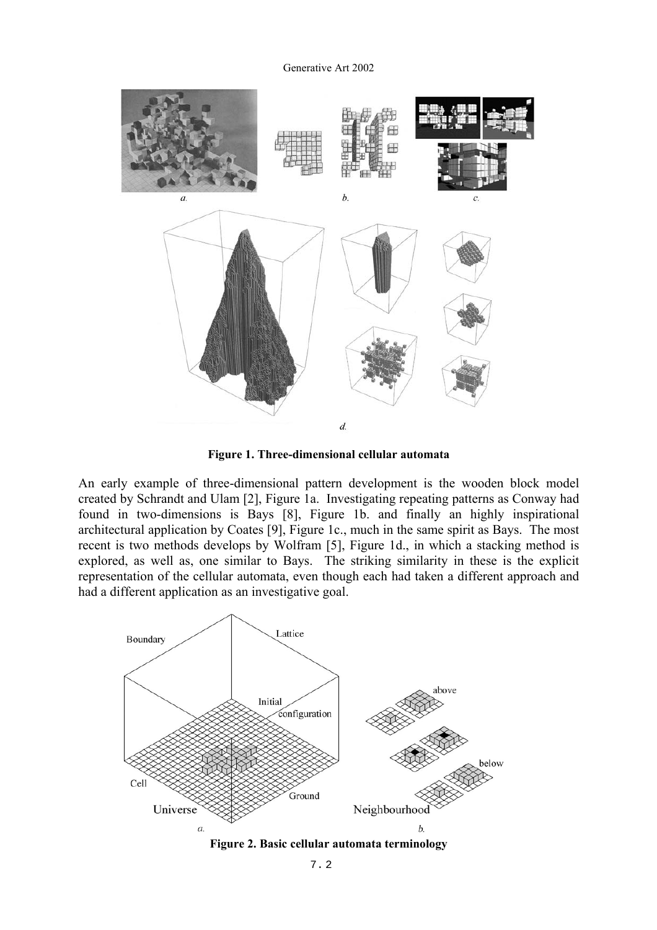

**Figure 1. Three-dimensional cellular automata** 

An early example of three-dimensional pattern development is the wooden block model created by Schrandt and Ulam [2], Figure 1a. Investigating repeating patterns as Conway had found in two-dimensions is Bays [8], Figure 1b. and finally an highly inspirational architectural application by Coates [9], Figure 1c., much in the same spirit as Bays. The most recent is two methods develops by Wolfram [5], Figure 1d., in which a stacking method is explored, as well as, one similar to Bays. The striking similarity in these is the explicit representation of the cellular automata, even though each had taken a different approach and had a different application as an investigative goal.

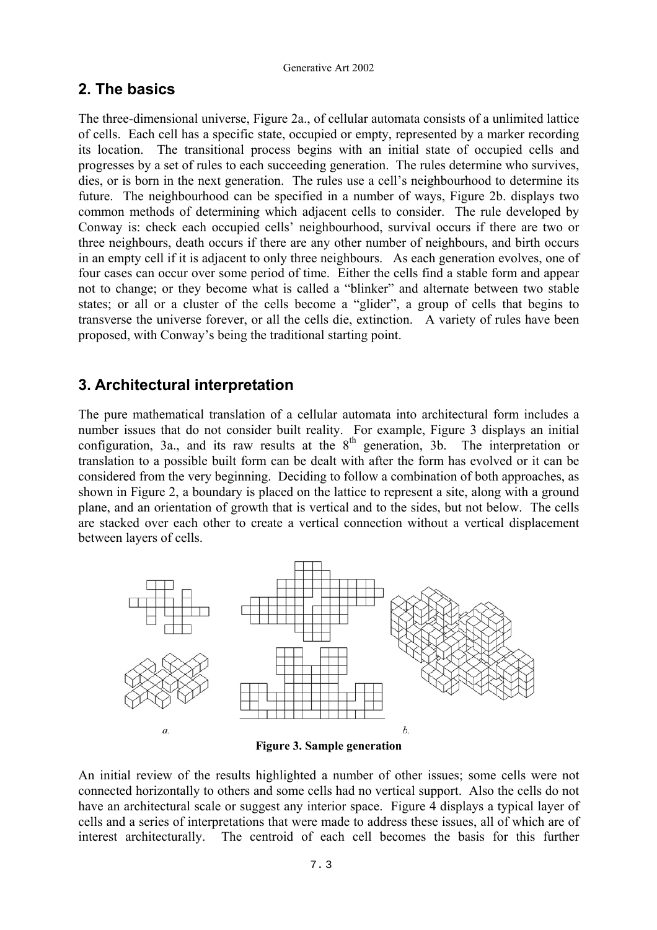## **2. The basics**

The three-dimensional universe, Figure 2a., of cellular automata consists of a unlimited lattice of cells. Each cell has a specific state, occupied or empty, represented by a marker recording its location. The transitional process begins with an initial state of occupied cells and progresses by a set of rules to each succeeding generation. The rules determine who survives, dies, or is born in the next generation. The rules use a cell's neighbourhood to determine its future. The neighbourhood can be specified in a number of ways, Figure 2b. displays two common methods of determining which adjacent cells to consider. The rule developed by Conway is: check each occupied cells' neighbourhood, survival occurs if there are two or three neighbours, death occurs if there are any other number of neighbours, and birth occurs in an empty cell if it is adjacent to only three neighbours. As each generation evolves, one of four cases can occur over some period of time. Either the cells find a stable form and appear not to change; or they become what is called a "blinker" and alternate between two stable states; or all or a cluster of the cells become a "glider", a group of cells that begins to transverse the universe forever, or all the cells die, extinction. A variety of rules have been proposed, with Conway's being the traditional starting point.

## **3. Architectural interpretation**

The pure mathematical translation of a cellular automata into architectural form includes a number issues that do not consider built reality. For example, Figure 3 displays an initial configuration, 3a., and its raw results at the  $8<sup>th</sup>$  generation, 3b. The interpretation or translation to a possible built form can be dealt with after the form has evolved or it can be considered from the very beginning. Deciding to follow a combination of both approaches, as shown in Figure 2, a boundary is placed on the lattice to represent a site, along with a ground plane, and an orientation of growth that is vertical and to the sides, but not below. The cells are stacked over each other to create a vertical connection without a vertical displacement between layers of cells.



**Figure 3. Sample generation** 

An initial review of the results highlighted a number of other issues; some cells were not connected horizontally to others and some cells had no vertical support. Also the cells do not have an architectural scale or suggest any interior space. Figure 4 displays a typical layer of cells and a series of interpretations that were made to address these issues, all of which are of interest architecturally. The centroid of each cell becomes the basis for this further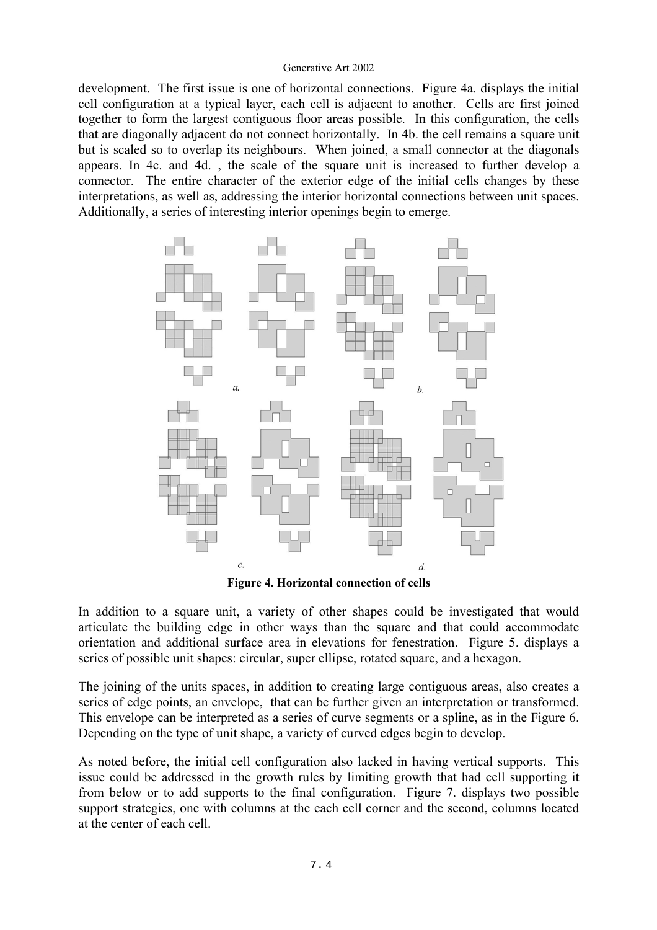development. The first issue is one of horizontal connections. Figure 4a. displays the initial cell configuration at a typical layer, each cell is adjacent to another. Cells are first joined together to form the largest contiguous floor areas possible. In this configuration, the cells that are diagonally adjacent do not connect horizontally. In 4b. the cell remains a square unit but is scaled so to overlap its neighbours. When joined, a small connector at the diagonals appears. In 4c. and 4d. , the scale of the square unit is increased to further develop a connector. The entire character of the exterior edge of the initial cells changes by these interpretations, as well as, addressing the interior horizontal connections between unit spaces. Additionally, a series of interesting interior openings begin to emerge.



**Figure 4. Horizontal connection of cells** 

In addition to a square unit, a variety of other shapes could be investigated that would articulate the building edge in other ways than the square and that could accommodate orientation and additional surface area in elevations for fenestration. Figure 5. displays a series of possible unit shapes: circular, super ellipse, rotated square, and a hexagon.

The joining of the units spaces, in addition to creating large contiguous areas, also creates a series of edge points, an envelope, that can be further given an interpretation or transformed. This envelope can be interpreted as a series of curve segments or a spline, as in the Figure 6. Depending on the type of unit shape, a variety of curved edges begin to develop.

As noted before, the initial cell configuration also lacked in having vertical supports. This issue could be addressed in the growth rules by limiting growth that had cell supporting it from below or to add supports to the final configuration. Figure 7. displays two possible support strategies, one with columns at the each cell corner and the second, columns located at the center of each cell.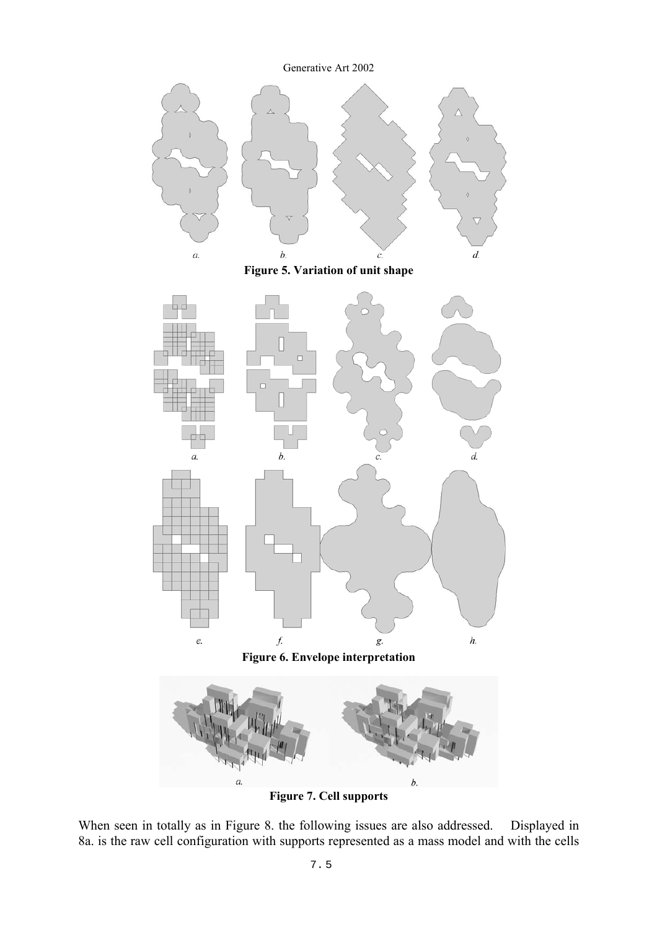

**Figure 7. Cell supports** 

When seen in totally as in Figure 8. the following issues are also addressed. Displayed in 8a. is the raw cell configuration with supports represented as a mass model and with the cells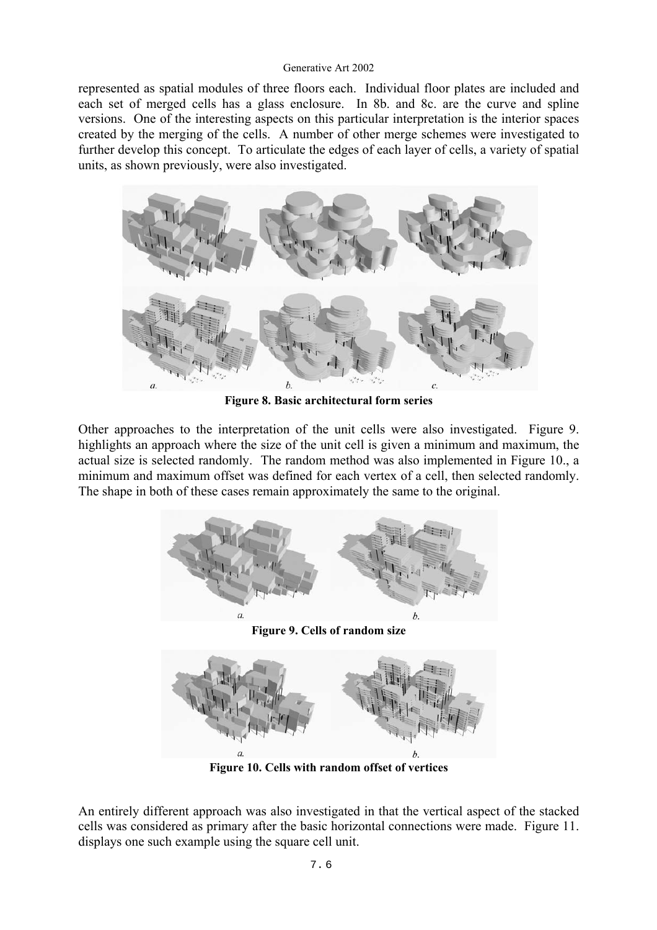represented as spatial modules of three floors each. Individual floor plates are included and each set of merged cells has a glass enclosure. In 8b. and 8c. are the curve and spline versions. One of the interesting aspects on this particular interpretation is the interior spaces created by the merging of the cells. A number of other merge schemes were investigated to further develop this concept. To articulate the edges of each layer of cells, a variety of spatial units, as shown previously, were also investigated.



**Figure 8. Basic architectural form series** 

Other approaches to the interpretation of the unit cells were also investigated. Figure 9. highlights an approach where the size of the unit cell is given a minimum and maximum, the actual size is selected randomly. The random method was also implemented in Figure 10., a minimum and maximum offset was defined for each vertex of a cell, then selected randomly. The shape in both of these cases remain approximately the same to the original.



**Figure 10. Cells with random offset of vertices** 

An entirely different approach was also investigated in that the vertical aspect of the stacked cells was considered as primary after the basic horizontal connections were made. Figure 11. displays one such example using the square cell unit.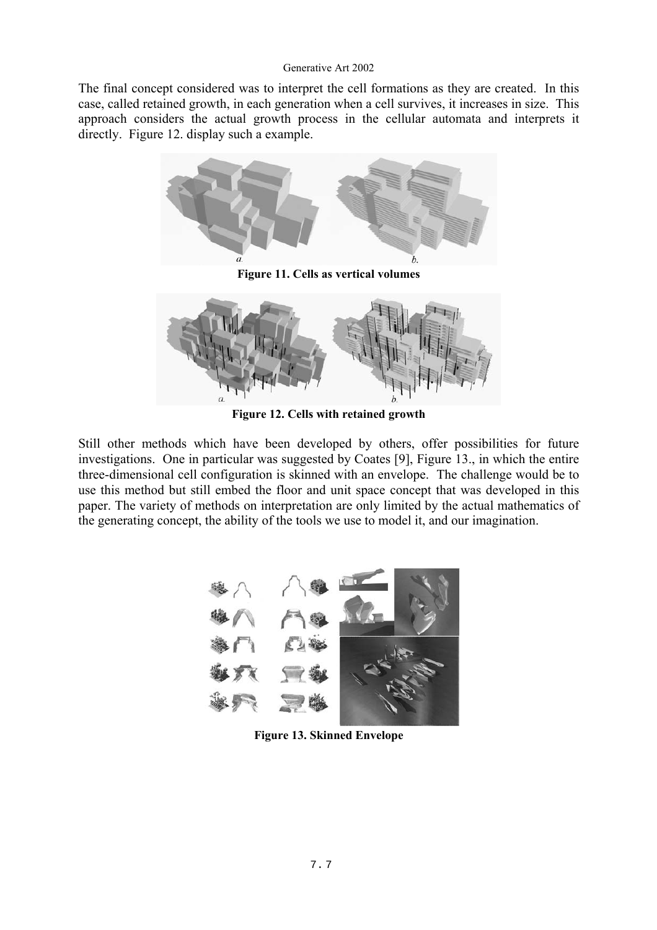The final concept considered was to interpret the cell formations as they are created. In this case, called retained growth, in each generation when a cell survives, it increases in size. This approach considers the actual growth process in the cellular automata and interprets it directly. Figure 12. display such a example.



**Figure 11. Cells as vertical volumes** 



**Figure 12. Cells with retained growth** 

Still other methods which have been developed by others, offer possibilities for future investigations. One in particular was suggested by Coates [9], Figure 13., in which the entire three-dimensional cell configuration is skinned with an envelope. The challenge would be to use this method but still embed the floor and unit space concept that was developed in this paper. The variety of methods on interpretation are only limited by the actual mathematics of the generating concept, the ability of the tools we use to model it, and our imagination.



**Figure 13. Skinned Envelope**